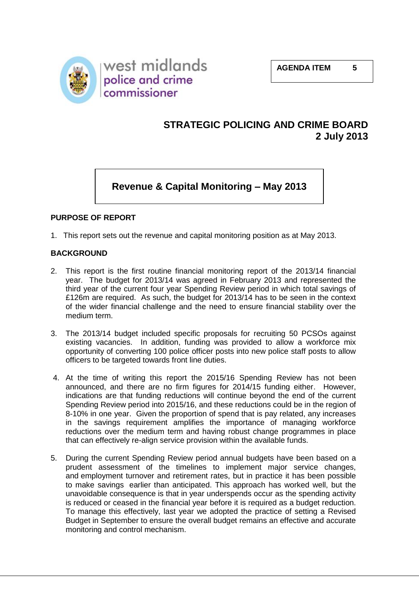

## **STRATEGIC POLICING AND CRIME BOARD 2 July 2013**

# **Revenue & Capital Monitoring – May 2013**

#### **PURPOSE OF REPORT**

1. This report sets out the revenue and capital monitoring position as at May 2013.

#### **BACKGROUND**

- 2. This report is the first routine financial monitoring report of the 2013/14 financial year. The budget for 2013/14 was agreed in February 2013 and represented the third year of the current four year Spending Review period in which total savings of £126m are required. As such, the budget for 2013/14 has to be seen in the context of the wider financial challenge and the need to ensure financial stability over the medium term.
- 3. The 2013/14 budget included specific proposals for recruiting 50 PCSOs against existing vacancies. In addition, funding was provided to allow a workforce mix opportunity of converting 100 police officer posts into new police staff posts to allow officers to be targeted towards front line duties.
- 4. At the time of writing this report the 2015/16 Spending Review has not been announced, and there are no firm figures for 2014/15 funding either. However, indications are that funding reductions will continue beyond the end of the current Spending Review period into 2015/16, and these reductions could be in the region of 8-10% in one year. Given the proportion of spend that is pay related, any increases in the savings requirement amplifies the importance of managing workforce reductions over the medium term and having robust change programmes in place that can effectively re-align service provision within the available funds.
- 5. During the current Spending Review period annual budgets have been based on a prudent assessment of the timelines to implement major service changes, and employment turnover and retirement rates, but in practice it has been possible to make savings earlier than anticipated. This approach has worked well, but the unavoidable consequence is that in year underspends occur as the spending activity is reduced or ceased in the financial year before it is required as a budget reduction. To manage this effectively, last year we adopted the practice of setting a Revised Budget in September to ensure the overall budget remains an effective and accurate monitoring and control mechanism.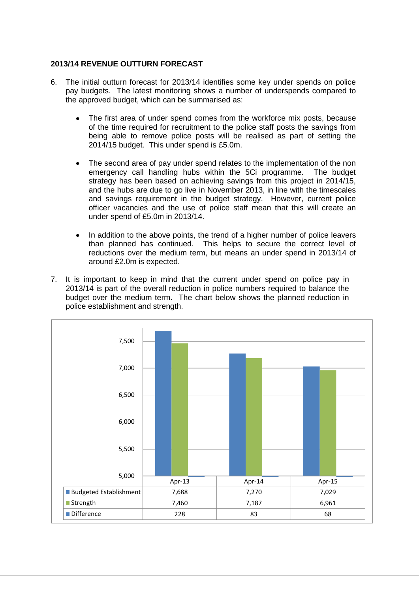#### **2013/14 REVENUE OUTTURN FORECAST**

- 6. The initial outturn forecast for 2013/14 identifies some key under spends on police pay budgets. The latest monitoring shows a number of underspends compared to the approved budget, which can be summarised as:
	- The first area of under spend comes from the workforce mix posts, because of the time required for recruitment to the police staff posts the savings from being able to remove police posts will be realised as part of setting the 2014/15 budget. This under spend is £5.0m.
	- The second area of pay under spend relates to the implementation of the non  $\bullet$ emergency call handling hubs within the 5Ci programme. The budget strategy has been based on achieving savings from this project in 2014/15, and the hubs are due to go live in November 2013, in line with the timescales and savings requirement in the budget strategy. However, current police officer vacancies and the use of police staff mean that this will create an under spend of £5.0m in 2013/14.
	- In addition to the above points, the trend of a higher number of police leavers than planned has continued. This helps to secure the correct level of reductions over the medium term, but means an under spend in 2013/14 of around £2.0m is expected.
- 7. It is important to keep in mind that the current under spend on police pay in 2013/14 is part of the overall reduction in police numbers required to balance the budget over the medium term. The chart below shows the planned reduction in police establishment and strength.

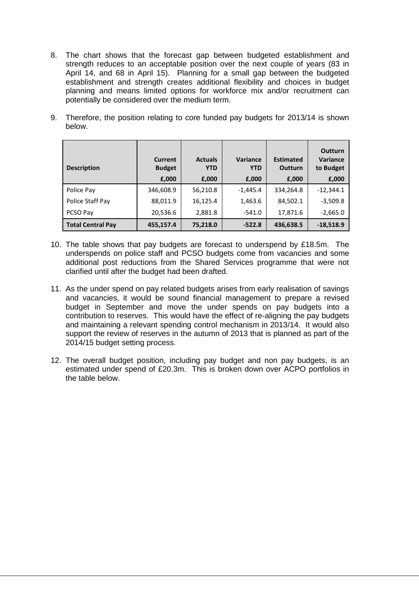- 8. The chart shows that the forecast gap between budgeted establishment and strength reduces to an acceptable position over the next couple of years (83 in April 14, and 68 in April 15). Planning for a small gap between the budgeted establishment and strength creates additional flexibility and choices in budget planning and means limited options for workforce mix and/or recruitment can potentially be considered over the medium term.
- 9. Therefore, the position relating to core funded pay budgets for 2013/14 is shown below.

| <b>Description</b>       | <b>Current</b><br><b>Budget</b><br>£,000 | <b>Actuals</b><br><b>YTD</b><br>£,000 | Variance<br><b>YTD</b><br>£,000 | <b>Estimated</b><br><b>Outturn</b><br>£,000 | <b>Outturn</b><br><b>Variance</b><br>to Budget<br>£,000 |
|--------------------------|------------------------------------------|---------------------------------------|---------------------------------|---------------------------------------------|---------------------------------------------------------|
| Police Pay               | 346,608.9                                | 56,210.8                              | $-1,445.4$                      | 334,264.8                                   | $-12,344.1$                                             |
| Police Staff Pay         | 88,011.9                                 | 16,125.4                              | 1,463.6                         | 84,502.1                                    | $-3,509.8$                                              |
| PCSO Pay                 | 20,536.6                                 | 2,881.8                               | $-541.0$                        | 17,871.6                                    | $-2,665.0$                                              |
| <b>Total Central Pay</b> | 455,157.4                                | 75,218.0                              | $-522.8$                        | 436,638.5                                   | $-18,518.9$                                             |

- 10. The table shows that pay budgets are forecast to underspend by £18.5m. The underspends on police staff and PCSO budgets come from vacancies and some additional post reductions from the Shared Services programme that were not clarified until after the budget had been drafted.
- 11. As the under spend on pay related budgets arises from early realisation of savings and vacancies, it would be sound financial management to prepare a revised budget in September and move the under spends on pay budgets into a contribution to reserves. This would have the effect of re-aligning the pay budgets and maintaining a relevant spending control mechanism in 2013/14. It would also support the review of reserves in the autumn of 2013 that is planned as part of the 2014/15 budget setting process.
- 12. The overall budget position, including pay budget and non pay budgets, is an estimated under spend of £20.3m. This is broken down over ACPO portfolios in the table below.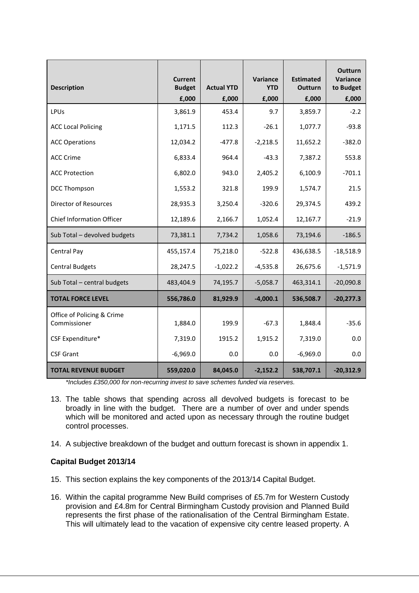| <b>Description</b>                         | <b>Current</b><br><b>Budget</b><br>£,000 | <b>Actual YTD</b><br>£,000 | Variance<br><b>YTD</b><br>£,000 | <b>Estimated</b><br><b>Outturn</b><br>£,000 | <b>Outturn</b><br>Variance<br>to Budget<br>£,000 |
|--------------------------------------------|------------------------------------------|----------------------------|---------------------------------|---------------------------------------------|--------------------------------------------------|
| LPUs                                       | 3,861.9                                  | 453.4                      | 9.7                             | 3,859.7                                     | $-2.2$                                           |
| <b>ACC Local Policing</b>                  | 1,171.5                                  | 112.3                      | $-26.1$                         | 1,077.7                                     | $-93.8$                                          |
| <b>ACC Operations</b>                      | 12,034.2                                 | $-477.8$                   | $-2,218.5$                      | 11,652.2                                    | $-382.0$                                         |
| <b>ACC Crime</b>                           | 6,833.4                                  | 964.4                      | $-43.3$                         | 7,387.2                                     | 553.8                                            |
| <b>ACC Protection</b>                      | 6,802.0                                  | 943.0                      | 2,405.2                         | 6,100.9                                     | $-701.1$                                         |
| <b>DCC Thompson</b>                        | 1,553.2                                  | 321.8                      | 199.9                           | 1,574.7                                     | 21.5                                             |
| <b>Director of Resources</b>               | 28,935.3                                 | 3,250.4                    | $-320.6$                        | 29,374.5                                    | 439.2                                            |
| <b>Chief Information Officer</b>           | 12,189.6                                 | 2,166.7                    | 1,052.4                         | 12,167.7                                    | $-21.9$                                          |
| Sub Total - devolved budgets               | 73,381.1                                 | 7,734.2                    | 1,058.6                         | 73,194.6                                    | $-186.5$                                         |
| Central Pay                                | 455,157.4                                | 75,218.0                   | $-522.8$                        | 436,638.5                                   | $-18,518.9$                                      |
| <b>Central Budgets</b>                     | 28,247.5                                 | $-1,022.2$                 | $-4,535.8$                      | 26,675.6                                    | $-1,571.9$                                       |
| Sub Total - central budgets                | 483,404.9                                | 74,195.7                   | $-5,058.7$                      | 463,314.1                                   | $-20,090.8$                                      |
| <b>TOTAL FORCE LEVEL</b>                   | 556,786.0                                | 81,929.9                   | $-4,000.1$                      | 536,508.7                                   | $-20,277.3$                                      |
| Office of Policing & Crime<br>Commissioner | 1,884.0                                  | 199.9                      | $-67.3$                         | 1,848.4                                     | $-35.6$                                          |
| CSF Expenditure*                           | 7,319.0                                  | 1915.2                     | 1,915.2                         | 7,319.0                                     | 0.0                                              |
| <b>CSF Grant</b>                           | $-6,969.0$                               | 0.0                        | 0.0                             | $-6,969.0$                                  | 0.0                                              |
| <b>TOTAL REVENUE BUDGET</b>                | 559,020.0                                | 84,045.0                   | $-2,152.2$                      | 538,707.1                                   | $-20,312.9$                                      |

*\*Includes £350,000 for non-recurring invest to save schemes funded via reserves.*

- 13. The table shows that spending across all devolved budgets is forecast to be broadly in line with the budget. There are a number of over and under spends which will be monitored and acted upon as necessary through the routine budget control processes.
- 14. A subjective breakdown of the budget and outturn forecast is shown in appendix 1.

#### **Capital Budget 2013/14**

- 15. This section explains the key components of the 2013/14 Capital Budget.
- 16. Within the capital programme New Build comprises of £5.7m for Western Custody provision and £4.8m for Central Birmingham Custody provision and Planned Build represents the first phase of the rationalisation of the Central Birmingham Estate. This will ultimately lead to the vacation of expensive city centre leased property. A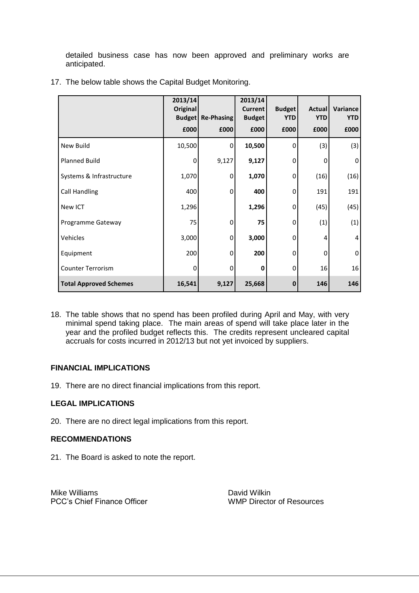detailed business case has now been approved and preliminary works are anticipated.

|                               | 2013/14<br><b>Original</b><br><b>Budget</b><br>£000 | <b>Re-Phasing</b><br>£000 | 2013/14<br><b>Current</b><br><b>Budget</b><br>£000 | <b>Budget</b><br><b>YTD</b><br>£000 | <b>Actual</b><br><b>YTD</b><br>£000 | Variance<br><b>YTD</b><br>£000 |
|-------------------------------|-----------------------------------------------------|---------------------------|----------------------------------------------------|-------------------------------------|-------------------------------------|--------------------------------|
| <b>New Build</b>              | 10,500                                              | $\Omega$                  | 10,500                                             | $\mathbf 0$                         | (3)                                 | (3)                            |
| <b>Planned Build</b>          | $\mathbf{0}$                                        | 9,127                     | 9,127                                              | 0                                   | 0                                   | 0                              |
| Systems & Infrastructure      | 1,070                                               | $\mathbf 0$               | 1,070                                              | 0                                   | (16)                                | (16)                           |
| <b>Call Handling</b>          | 400                                                 | $\mathbf 0$               | 400                                                | 0                                   | 191                                 | 191                            |
| New ICT                       | 1,296                                               |                           | 1,296                                              | 0                                   | (45)                                | (45)                           |
| Programme Gateway             | 75                                                  | 0                         | 75                                                 | $\mathbf 0$                         | (1)                                 | (1)                            |
| Vehicles                      | 3,000                                               | 0                         | 3,000                                              | 0                                   | 4                                   | 4                              |
| Equipment                     | 200                                                 | $\mathbf{0}$              | 200                                                | 0                                   | 0                                   | $\mathbf 0$                    |
| <b>Counter Terrorism</b>      | $\overline{0}$                                      | 0                         | 0                                                  | $\mathbf 0$                         | 16                                  | 16                             |
| <b>Total Approved Schemes</b> | 16,541                                              | 9,127                     | 25,668                                             | $\mathbf 0$                         | 146                                 | 146                            |

17. The below table shows the Capital Budget Monitoring.

18. The table shows that no spend has been profiled during April and May, with very minimal spend taking place. The main areas of spend will take place later in the year and the profiled budget reflects this. The credits represent uncleared capital accruals for costs incurred in 2012/13 but not yet invoiced by suppliers.

#### **FINANCIAL IMPLICATIONS**

19. There are no direct financial implications from this report.

#### **LEGAL IMPLICATIONS**

20. There are no direct legal implications from this report.

#### **RECOMMENDATIONS**

21. The Board is asked to note the report.

Mike Williams **David Wilkin** PCC's Chief Finance Officer WMP Director of Resources